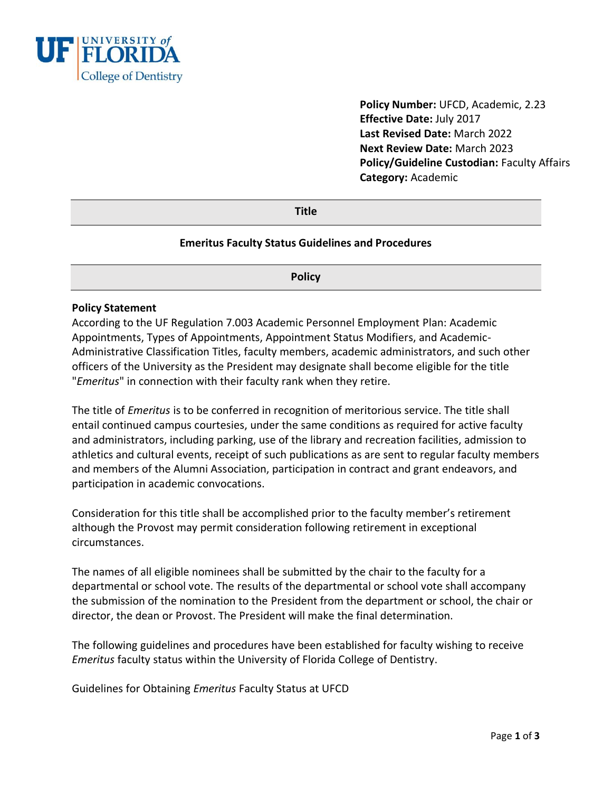

**Policy Number:** UFCD, Academic, 2.23 **Effective Date:** July 2017 **Last Revised Date:** March 2022 **Next Review Date:** March 2023 **Policy/Guideline Custodian:** Faculty Affairs **Category:** Academic

**Title**

#### **Emeritus Faculty Status Guidelines and Procedures**

**Policy** 

#### **Policy Statement**

According to the UF Regulation 7.003 Academic Personnel Employment Plan: Academic Appointments, Types of Appointments, Appointment Status Modifiers, and Academic-Administrative Classification Titles, faculty members, academic administrators, and such other officers of the University as the President may designate shall become eligible for the title "*Emeritus*" in connection with their faculty rank when they retire.

The title of *Emeritus* is to be conferred in recognition of meritorious service. The title shall entail continued campus courtesies, under the same conditions as required for active faculty and administrators, including parking, use of the library and recreation facilities, admission to athletics and cultural events, receipt of such publications as are sent to regular faculty members and members of the Alumni Association, participation in contract and grant endeavors, and participation in academic convocations.

Consideration for this title shall be accomplished prior to the faculty member's retirement although the Provost may permit consideration following retirement in exceptional circumstances.

The names of all eligible nominees shall be submitted by the chair to the faculty for a departmental or school vote. The results of the departmental or school vote shall accompany the submission of the nomination to the President from the department or school, the chair or director, the dean or Provost. The President will make the final determination.

The following guidelines and procedures have been established for faculty wishing to receive *Emeritus* faculty status within the University of Florida College of Dentistry.

Guidelines for Obtaining *Emeritus* Faculty Status at UFCD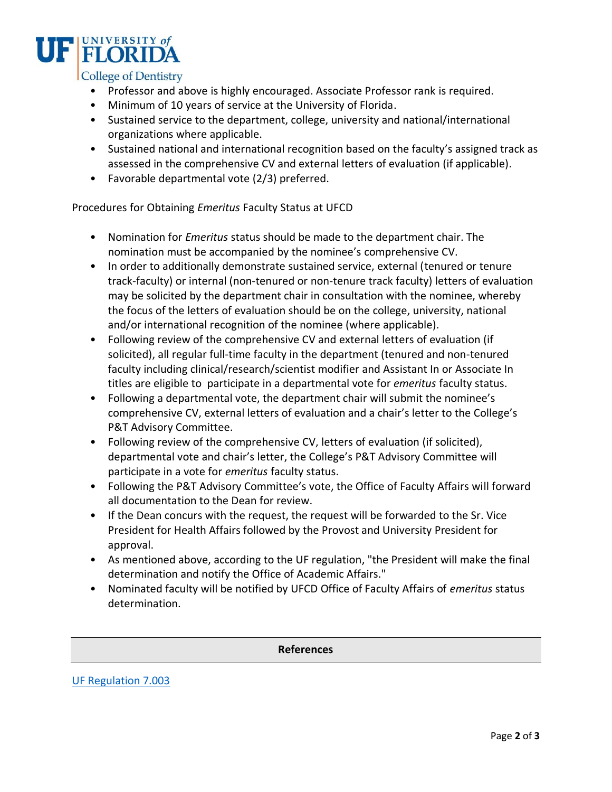

- Professor and above is highly encouraged. Associate Professor rank is required.
- Minimum of 10 years of service at the University of Florida.
- Sustained service to the department, college, university and national/international organizations where applicable.
- Sustained national and international recognition based on the faculty's assigned track as assessed in the comprehensive CV and external letters of evaluation (if applicable).
- Favorable departmental vote (2/3) preferred.

Procedures for Obtaining *Emeritus* Faculty Status at UFCD

- Nomination for *Emeritus* status should be made to the department chair. The nomination must be accompanied by the nominee's comprehensive CV.
- In order to additionally demonstrate sustained service, external (tenured or tenure track-faculty) or internal (non-tenured or non-tenure track faculty) letters of evaluation may be solicited by the department chair in consultation with the nominee, whereby the focus of the letters of evaluation should be on the college, university, national and/or international recognition of the nominee (where applicable).
- Following review of the comprehensive CV and external letters of evaluation (if solicited), all regular full-time faculty in the department (tenured and non-tenured faculty including clinical/research/scientist modifier and Assistant In or Associate In titles are eligible to participate in a departmental vote for *emeritus* faculty status.
- Following a departmental vote, the department chair will submit the nominee's comprehensive CV, external letters of evaluation and a chair's letter to the College's P&T Advisory Committee.
- Following review of the comprehensive CV, letters of evaluation (if solicited), departmental vote and chair's letter, the College's P&T Advisory Committee will participate in a vote for *emeritus* faculty status.
- Following the P&T Advisory Committee's vote, the Office of Faculty Affairs will forward all documentation to the Dean for review.
- If the Dean concurs with the request, the request will be forwarded to the Sr. Vice President for Health Affairs followed by the Provost and University President for approval.
- As mentioned above, according to the UF regulation, "the President will make the final determination and notify the Office of Academic Affairs."
- Nominated faculty will be notified by UFCD Office of Faculty Affairs of *emeritus* status determination.

**References**

[UF Regulation 7.003](https://regulations.ufl.edu/wp-content/uploads/2012/09/7003.2016final4-8-16.pdf)